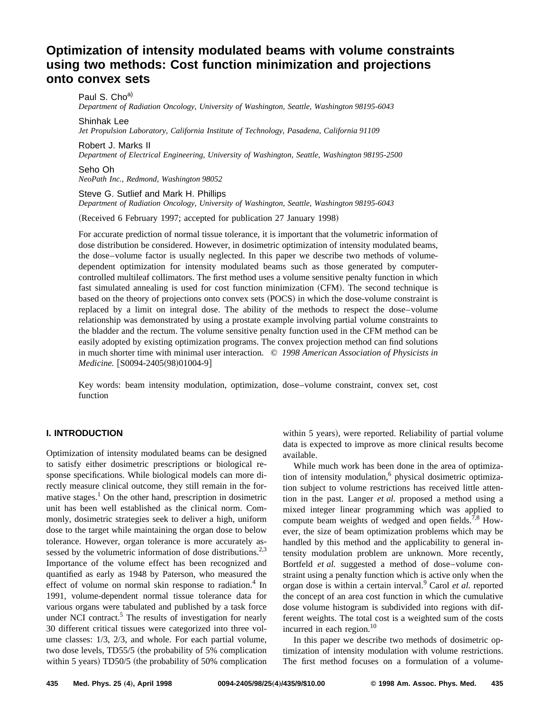# **Optimization of intensity modulated beams with volume constraints using two methods: Cost function minimization and projections onto convex sets**

Paul S. Cho<sup>a)</sup> *Department of Radiation Oncology, University of Washington, Seattle, Washington 98195-6043* Shinhak Lee

*Jet Propulsion Laboratory, California Institute of Technology, Pasadena, California 91109*

Robert J. Marks II

*Department of Electrical Engineering, University of Washington, Seattle, Washington 98195-2500*

Seho Oh *NeoPath Inc., Redmond, Washington 98052*

# Steve G. Sutlief and Mark H. Phillips

*Department of Radiation Oncology, University of Washington, Seattle, Washington 98195-6043*

(Received 6 February 1997; accepted for publication 27 January 1998)

For accurate prediction of normal tissue tolerance, it is important that the volumetric information of dose distribution be considered. However, in dosimetric optimization of intensity modulated beams, the dose–volume factor is usually neglected. In this paper we describe two methods of volumedependent optimization for intensity modulated beams such as those generated by computercontrolled multileaf collimators. The first method uses a volume sensitive penalty function in which fast simulated annealing is used for cost function minimization (CFM). The second technique is based on the theory of projections onto convex sets (POCS) in which the dose-volume constraint is replaced by a limit on integral dose. The ability of the methods to respect the dose–volume relationship was demonstrated by using a prostate example involving partial volume constraints to the bladder and the rectum. The volume sensitive penalty function used in the CFM method can be easily adopted by existing optimization programs. The convex projection method can find solutions in much shorter time with minimal user interaction. © *1998 American Association of Physicists in Medicine.* [S0094-2405(98)01004-9]

Key words: beam intensity modulation, optimization, dose–volume constraint, convex set, cost function

# **I. INTRODUCTION**

Optimization of intensity modulated beams can be designed to satisfy either dosimetric prescriptions or biological response specifications. While biological models can more directly measure clinical outcome, they still remain in the formative stages.<sup>1</sup> On the other hand, prescription in dosimetric unit has been well established as the clinical norm. Commonly, dosimetric strategies seek to deliver a high, uniform dose to the target while maintaining the organ dose to below tolerance. However, organ tolerance is more accurately assessed by the volumetric information of dose distributions.<sup>2,3</sup> Importance of the volume effect has been recognized and quantified as early as 1948 by Paterson, who measured the effect of volume on normal skin response to radiation.<sup>4</sup> In 1991, volume-dependent normal tissue tolerance data for various organs were tabulated and published by a task force under NCI contract.<sup>5</sup> The results of investigation for nearly 30 different critical tissues were categorized into three volume classes: 1/3, 2/3, and whole. For each partial volume, two dose levels, TD55/5 (the probability of 5% complication within 5 years)  $TD50/5$  (the probability of 50% complication

within 5 years), were reported. Reliability of partial volume data is expected to improve as more clinical results become available.

While much work has been done in the area of optimization of intensity modulation,<sup>6</sup> physical dosimetric optimization subject to volume restrictions has received little attention in the past. Langer *et al.* proposed a method using a mixed integer linear programming which was applied to compute beam weights of wedged and open fields.<sup>7,8</sup> However, the size of beam optimization problems which may be handled by this method and the applicability to general intensity modulation problem are unknown. More recently, Bortfeld *et al.* suggested a method of dose–volume constraint using a penalty function which is active only when the organ dose is within a certain interval.<sup>9</sup> Carol *et al.* reported the concept of an area cost function in which the cumulative dose volume histogram is subdivided into regions with different weights. The total cost is a weighted sum of the costs incurred in each region. $10$ 

In this paper we describe two methods of dosimetric optimization of intensity modulation with volume restrictions. The first method focuses on a formulation of a volume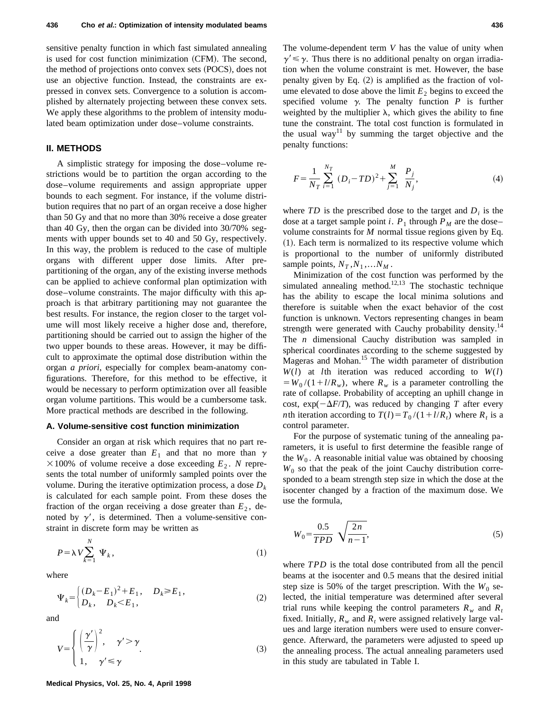sensitive penalty function in which fast simulated annealing is used for cost function minimization (CFM). The second, the method of projections onto convex sets (POCS), does not use an objective function. Instead, the constraints are expressed in convex sets. Convergence to a solution is accomplished by alternately projecting between these convex sets. We apply these algorithms to the problem of intensity modulated beam optimization under dose–volume constraints.

# **II. METHODS**

A simplistic strategy for imposing the dose–volume restrictions would be to partition the organ according to the dose–volume requirements and assign appropriate upper bounds to each segment. For instance, if the volume distribution requires that no part of an organ receive a dose higher than 50 Gy and that no more than 30% receive a dose greater than 40 Gy, then the organ can be divided into 30/70% segments with upper bounds set to 40 and 50 Gy, respectively. In this way, the problem is reduced to the case of multiple organs with different upper dose limits. After prepartitioning of the organ, any of the existing inverse methods can be applied to achieve conformal plan optimization with dose–volume constraints. The major difficulty with this approach is that arbitrary partitioning may not guarantee the best results. For instance, the region closer to the target volume will most likely receive a higher dose and, therefore, partitioning should be carried out to assign the higher of the two upper bounds to these areas. However, it may be difficult to approximate the optimal dose distribution within the organ *a priori*, especially for complex beam-anatomy configurations. Therefore, for this method to be effective, it would be necessary to perform optimization over all feasible organ volume partitions. This would be a cumbersome task. More practical methods are described in the following.

## **A. Volume-sensitive cost function minimization**

Consider an organ at risk which requires that no part receive a dose greater than  $E_1$  and that no more than  $\gamma$  $\times$ 100% of volume receive a dose exceeding  $E_2$ . *N* represents the total number of uniformly sampled points over the volume. During the iterative optimization process, a dose  $D_k$ is calculated for each sample point. From these doses the fraction of the organ receiving a dose greater than  $E_2$ , denoted by  $\gamma'$ , is determined. Then a volume-sensitive constraint in discrete form may be written as

$$
P = \lambda V \sum_{k=1}^{N} \Psi_k, \qquad (1)
$$

where

$$
\Psi_k = \begin{cases}\n(D_k - E_1)^2 + E_1, & D_k \ge E_1, \\
D_k, & D_k < E_1,\n\end{cases} \tag{2}
$$

and

$$
V = \begin{cases} \left(\frac{\gamma'}{\gamma}\right)^2, & \gamma' > \gamma \\ 1, & \gamma' \le \gamma \end{cases}
$$
 (3)

The volume-dependent term *V* has the value of unity when  $\gamma' \leq \gamma$ . Thus there is no additional penalty on organ irradiation when the volume constraint is met. However, the base penalty given by Eq.  $(2)$  is amplified as the fraction of volume elevated to dose above the limit  $E<sub>2</sub>$  begins to exceed the specified volume  $\gamma$ . The penalty function *P* is further weighted by the multiplier  $\lambda$ , which gives the ability to fine tune the constraint. The total cost function is formulated in the usual way<sup>11</sup> by summing the target objective and the penalty functions:

$$
F = \frac{1}{N_T} \sum_{i=1}^{N_T} (D_i - TD)^2 + \sum_{j=1}^{M} \frac{P_j}{N_j},
$$
 (4)

where  $TD$  is the prescribed dose to the target and  $D_i$  is the dose at a target sample point *i*.  $P_1$  through  $P_M$  are the dose– volume constraints for *M* normal tissue regions given by Eq.  $(1)$ . Each term is normalized to its respective volume which is proportional to the number of uniformly distributed sample points,  $N_T$ ,  $N_1$ , ...,  $N_M$ .

Minimization of the cost function was performed by the simulated annealing method.<sup>12,13</sup> The stochastic technique has the ability to escape the local minima solutions and therefore is suitable when the exact behavior of the cost function is unknown. Vectors representing changes in beam strength were generated with Cauchy probability density.<sup>14</sup> The *n* dimensional Cauchy distribution was sampled in spherical coordinates according to the scheme suggested by Mageras and Mohan.15 The width parameter of distribution  $W(l)$  at *l*th iteration was reduced according to  $W(l)$  $= W_0 / (1 + l/R_w)$ , where  $R_w$  is a parameter controlling the rate of collapse. Probability of accepting an uphill change in cost,  $exp(-\Delta F/T)$ , was reduced by changing *T* after every *n*th iteration according to  $T(l) = T_0 / (1 + l/R_t)$  where  $R_t$  is a control parameter.

For the purpose of systematic tuning of the annealing parameters, it is useful to first determine the feasible range of the  $W_0$ . A reasonable initial value was obtained by choosing  $W_0$  so that the peak of the joint Cauchy distribution corresponded to a beam strength step size in which the dose at the isocenter changed by a fraction of the maximum dose. We use the formula,

$$
W_0 = \frac{0.5}{TPD} \sqrt{\frac{2n}{n-1}},
$$
\n(5)

where *TPD* is the total dose contributed from all the pencil beams at the isocenter and 0.5 means that the desired initial step size is 50% of the target prescription. With the  $W_0$  selected, the initial temperature was determined after several trial runs while keeping the control parameters  $R_w$  and  $R_t$ fixed. Initially,  $R_w$  and  $R_t$  were assigned relatively large values and large iteration numbers were used to ensure convergence. Afterward, the parameters were adjusted to speed up the annealing process. The actual annealing parameters used in this study are tabulated in Table I.

**Medical Physics, Vol. 25, No. 4, April 1998**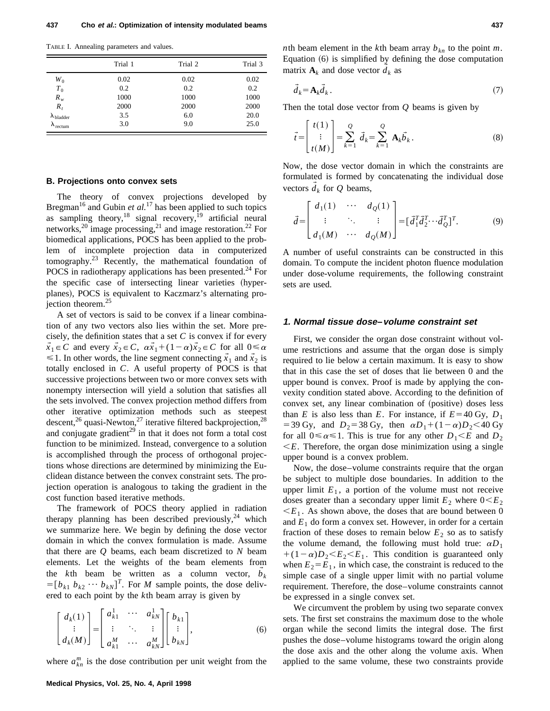TABLE I. Annealing parameters and values.

|                            | Trial 1 | Trial 2 | Trial 3 |  |
|----------------------------|---------|---------|---------|--|
| $W_0$                      | 0.02    | 0.02    | 0.02    |  |
| $T_{0}$                    | 0.2     | 0.2     | 0.2     |  |
| $R_{w}$                    | 1000    | 1000    | 1000    |  |
| $R_t$                      | 2000    | 2000    | 2000    |  |
| $\lambda_{\text{bladder}}$ | 3.5     | 6.0     | 20.0    |  |
| $\lambda_{\text{rectum}}$  | 3.0     | 9.0     | 25.0    |  |

#### **B. Projections onto convex sets**

The theory of convex projections developed by Bregman<sup>16</sup> and Gubin *et al.*<sup>17</sup> has been applied to such topics as sampling theory,<sup>18</sup> signal recovery,<sup>19</sup> artificial neural networks,<sup>20</sup> image processing,<sup>21</sup> and image restoration.<sup>22</sup> For biomedical applications, POCS has been applied to the problem of incomplete projection data in computerized tomography.<sup>23</sup> Recently, the mathematical foundation of POCS in radiotherapy applications has been presented.<sup>24</sup> For the specific case of intersecting linear varieties (hyperplanes), POCS is equivalent to Kaczmarz's alternating proiection theorem. $25$ 

A set of vectors is said to be convex if a linear combination of any two vectors also lies within the set. More precisely, the definition states that a set *C* is convex if for every  $\vec{x}_1 \in C$  and every  $\vec{x}_2 \in C$ ,  $\alpha \vec{x}_1 + (1 - \alpha)\vec{x}_2 \in C$  for all  $0 \le \alpha$  $\leq 1$ . In other words, the line segment connecting  $\vec{x}_1$  and  $\vec{x}_2$  is totally enclosed in *C*. A useful property of POCS is that successive projections between two or more convex sets with nonempty intersection will yield a solution that satisfies all the sets involved. The convex projection method differs from other iterative optimization methods such as steepest descent,<sup>26</sup> quasi-Newton,<sup>27</sup> iterative filtered backprojection,<sup>28</sup> and conjugate gradient<sup>29</sup> in that it does not form a total cost function to be minimized. Instead, convergence to a solution is accomplished through the process of orthogonal projections whose directions are determined by minimizing the Euclidean distance between the convex constraint sets. The projection operation is analogous to taking the gradient in the cost function based iterative methods.

The framework of POCS theory applied in radiation therapy planning has been described previously,  $24$  which we summarize here. We begin by defining the dose vector domain in which the convex formulation is made. Assume that there are *Q* beams, each beam discretized to *N* beam elements. Let the weights of the beam elements from the  $k$ <sup>th</sup> beam be written as a column vector,  $b_k$  $\rightarrow$  $=[b_{k1} b_{k2} \cdots b_{kN}]^T$ . For *M* sample points, the dose delivered to each point by the *k*th beam array is given by

$$
\begin{bmatrix} d_k(1) \\ \vdots \\ d_k(M) \end{bmatrix} = \begin{bmatrix} a_{k1}^1 & \cdots & a_{kN}^1 \\ \vdots & \ddots & \vdots \\ a_{k1}^M & \cdots & a_{kN}^M \end{bmatrix} \begin{bmatrix} b_{k1} \\ \vdots \\ b_{kN} \end{bmatrix},
$$
 (6)

where  $a_{kn}^m$  is the dose contribution per unit weight from the

*n*th beam element in the *k*th beam array  $b_{kn}$  to the point *m*. Equation  $(6)$  is simplified by defining the dose computation matrix  $A_k$  and dose vector  $d_k$  as

$$
\vec{d}_k = \mathbf{A}_k \vec{d}_k \,. \tag{7}
$$

Then the total dose vector from *Q* beams is given by

$$
\vec{t} = \begin{bmatrix} t(1) \\ \vdots \\ t(M) \end{bmatrix} = \sum_{k=1}^{Q} \vec{d}_k = \sum_{k=1}^{Q} \mathbf{A}_k \vec{b}_k.
$$
 (8)

Now, the dose vector domain in which the constraints are formulated is formed by concatenating the individual dose vectors  $d_k$  for  $Q$  beams,  $\rightarrow$ 

$$
\vec{d} = \begin{bmatrix} d_1(1) & \cdots & d_Q(1) \\ \vdots & \ddots & \vdots \\ d_1(M) & \cdots & d_Q(M) \end{bmatrix} = [\vec{d}_1^T \vec{d}_2^T \cdots \vec{d}_Q^T]^T. \tag{9}
$$

A number of useful constraints can be constructed in this domain. To compute the incident photon fluence modulation under dose-volume requirements, the following constraint sets are used.

#### **1. Normal tissue dose–volume constraint set**

First, we consider the organ dose constraint without volume restrictions and assume that the organ dose is simply required to lie below a certain maximum. It is easy to show that in this case the set of doses that lie between 0 and the upper bound is convex. Proof is made by applying the convexity condition stated above. According to the definition of convex set, any linear combination of (positive) doses less than *E* is also less than *E*. For instance, if  $E = 40 \text{ Gy}, D_1$  $=$  39 Gy, and  $D_2$ = 38 Gy, then  $\alpha D_1 + (1-\alpha)D_2$  < 40 Gy for all  $0 \le \alpha \le 1$ . This is true for any other  $D_1 \le E$  and  $D_2$  $\leq E$ . Therefore, the organ dose minimization using a single upper bound is a convex problem.

Now, the dose–volume constraints require that the organ be subject to multiple dose boundaries. In addition to the upper limit  $E_1$ , a portion of the volume must not receive doses greater than a secondary upper limit  $E_2$  where  $0 \le E_2$  $\leq E_1$ . As shown above, the doses that are bound between 0 and  $E_1$  do form a convex set. However, in order for a certain fraction of these doses to remain below  $E_2$  so as to satisfy the volume demand, the following must hold true:  $\alpha D_1$  $+(1-\alpha)D_2 \leq E_2 \leq E_1$ . This condition is guaranteed only when  $E_2 = E_1$ , in which case, the constraint is reduced to the simple case of a single upper limit with no partial volume requirement. Therefore, the dose–volume constraints cannot be expressed in a single convex set.

We circumvent the problem by using two separate convex sets. The first set constrains the maximum dose to the whole organ while the second limits the integral dose. The first pushes the dose–volume histograms toward the origin along the dose axis and the other along the volume axis. When applied to the same volume, these two constraints provide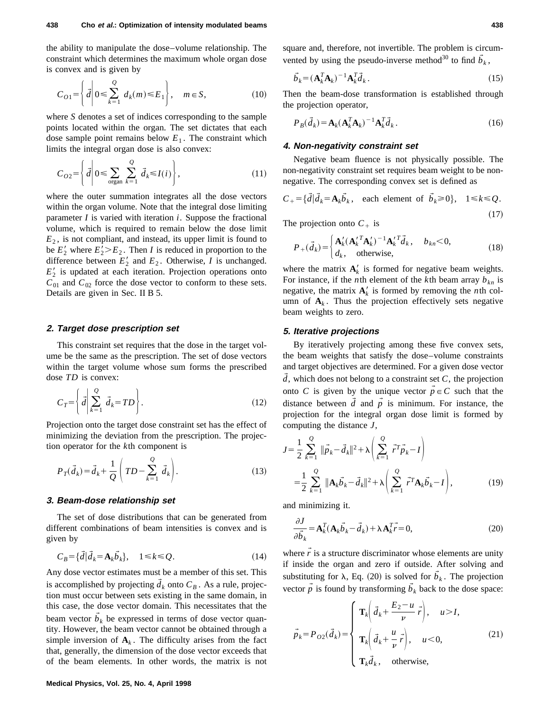the ability to manipulate the dose–volume relationship. The constraint which determines the maximum whole organ dose is convex and is given by

$$
C_{O1} = \left\{ \vec{d} \middle| 0 \le \sum_{k=1}^{Q} d_k(m) \le E_1 \right\}, \quad m \in S,
$$
 (10)

where *S* denotes a set of indices corresponding to the sample points located within the organ. The set dictates that each dose sample point remains below  $E_1$ . The constraint which limits the integral organ dose is also convex:

$$
C_{O2} = \left\{ \vec{d} \middle| 0 \le \sum_{\text{organ}} \sum_{k=1}^{Q} \vec{d}_k \le I(i) \right\},\tag{11}
$$

where the outer summation integrates all the dose vectors within the organ volume. Note that the integral dose limiting parameter *I* is varied with iteration *i*. Suppose the fractional volume, which is required to remain below the dose limit  $E_2$ , is not compliant, and instead, its upper limit is found to be  $E_2'$  where  $E_2' > E_2$ . Then *I* is reduced in proportion to the difference between  $E'_2$  and  $E_2$ . Otherwise, *I* is unchanged.  $E'_{2}$  is updated at each iteration. Projection operations onto  $C_{01}$  and  $C_{02}$  force the dose vector to conform to these sets. Details are given in Sec. II B 5.

## **2. Target dose prescription set**

This constraint set requires that the dose in the target volume be the same as the prescription. The set of dose vectors within the target volume whose sum forms the prescribed dose *TD* is convex:

$$
C_T = \left\{ \vec{d} \middle| \sum_{k=1}^{Q} \vec{d}_k = TD \right\}.
$$
 (12)

Projection onto the target dose constraint set has the effect of minimizing the deviation from the prescription. The projection operator for the *k*th component is

$$
P_T(\vec{d}_k) = \vec{d}_k + \frac{1}{Q} \left( TD - \sum_{k=1}^{Q} \vec{d}_k \right).
$$
 (13)

#### **3. Beam-dose relationship set**

The set of dose distributions that can be generated from different combinations of beam intensities is convex and is given by

$$
C_B = \{\vec{d} | \vec{d}_k = \mathbf{A}_k \vec{b}_k\}, \quad 1 \le k \le Q. \tag{14}
$$

Any dose vector estimates must be a member of this set. This is accomplished by projecting  $d_k$  onto  $C_B$ . As a rule, projection must occur between sets existing in the same domain, in this case, the dose vector domain. This necessitates that the beam vector  $b_k$  be expressed in terms of dose vector quantity. However, the beam vector cannot be obtained through a simple inversion of  $A_k$ . The difficulty arises from the fact that, generally, the dimension of the dose vector exceeds that of the beam elements. In other words, the matrix is not square and, therefore, not invertible. The problem is circumvented by using the pseudo-inverse method<sup>30</sup> to find  $\vec{b}_k$ ,

$$
\vec{b}_k = (\mathbf{A}_k^T \mathbf{A}_k)^{-1} \mathbf{A}_k^T \vec{d}_k. \tag{15}
$$

Then the beam-dose transformation is established through the projection operator,

$$
P_B(\vec{d}_k) = \mathbf{A}_k (\mathbf{A}_k^T \mathbf{A}_k)^{-1} \mathbf{A}_k^T \vec{d}_k. \tag{16}
$$

### **4. Non-negativity constraint set**

Negative beam fluence is not physically possible. The non-negativity constraint set requires beam weight to be nonnegative. The corresponding convex set is defined as

$$
C_{+} = \{\vec{d} | \vec{d}_k = \mathbf{A}_k \vec{b}_k, \text{ each element of } \vec{b}_k \ge 0\}, \quad 1 \le k \le Q. \tag{17}
$$

The projection onto  $C_+$  is

$$
P_{+}(\vec{d}_{k}) = \begin{cases} \mathbf{A}_{k}^{\prime}(\mathbf{A}_{k}^{\prime T}\mathbf{A}_{k}^{\prime})^{-1}\mathbf{A}_{k}^{\prime T}\vec{d}_{k}, & b_{kn} < 0, \\ d_{k}, & \text{otherwise,} \end{cases}
$$
(18)

where the matrix  $A_k'$  is formed for negative beam weights. For instance, if the *n*th element of the *k*th beam array  $b_{kn}$  is negative, the matrix  $A_k'$  is formed by removing the *n*th column of  $A_k$ . Thus the projection effectively sets negative beam weights to zero.

## **5. Iterative projections**

By iteratively projecting among these five convex sets, the beam weights that satisfy the dose–volume constraints and target objectives are determined. For a given dose vector  $\overline{d}$ , which does not belong to a constraint set *C*, the projection onto *C* is given by the unique vector  $\vec{p} \in C$  such that the distance between  $\overrightarrow{d}$  and  $\overrightarrow{p}$  is minimum. For instance, the projection for the integral organ dose limit is formed by computing the distance *J*,

$$
J = \frac{1}{2} \sum_{k=1}^{Q} \|\vec{p}_k - \vec{d}_k\|^2 + \lambda \left( \sum_{k=1}^{Q} \vec{r}^T \vec{p}_k - I \right)
$$
  
= 
$$
\frac{1}{2} \sum_{k=1}^{Q} \|\mathbf{A}_k \vec{b}_k - \vec{d}_k\|^2 + \lambda \left( \sum_{k=1}^{Q} \vec{r}^T \mathbf{A}_k \vec{b}_k - I \right),
$$
 (19)

and minimizing it.

$$
\frac{\partial J}{\partial \vec{b}_k} = \mathbf{A}_k^T (\mathbf{A}_k \vec{b}_k - \vec{d}_k) + \lambda \mathbf{A}_k^T \vec{r} = 0,
$$
\n(20)

where  $\vec{r}$  is a structure discriminator whose elements are unity if inside the organ and zero if outside. After solving and substituting for  $\lambda$ , Eq. (20) is solved for  $\tilde{b}_k$ . The projection vector  $\vec{p}$  is found by transforming  $\vec{b}_k$  back to the dose space:

$$
\vec{p}_k = P_{O2}(\vec{d}_k) = \begin{cases} \mathbf{T}_k \left( \vec{d}_k + \frac{E_2 - u}{\nu} \vec{r} \right), & u > I, \\ \mathbf{T}_k \left( \vec{d}_k + \frac{u}{\nu} \vec{r} \right), & u < 0, \\ \mathbf{T}_k \vec{d}_k, & \text{otherwise,} \end{cases} \tag{21}
$$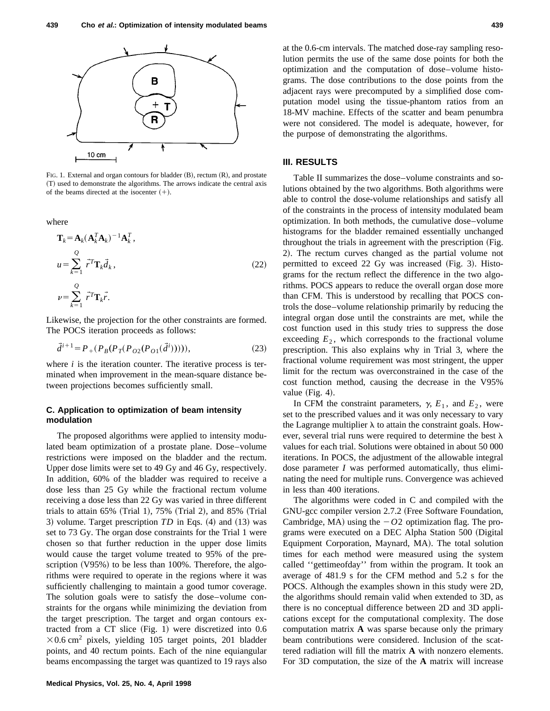

FIG. 1. External and organ contours for bladder  $(B)$ , rectum  $(R)$ , and prostate ~T! used to demonstrate the algorithms. The arrows indicate the central axis of the beams directed at the isocenter  $(+)$ .

where

$$
\mathbf{T}_{k} = \mathbf{A}_{k} (\mathbf{A}_{k}^{T} \mathbf{A}_{k})^{-1} \mathbf{A}_{k}^{T},
$$
  
\n
$$
u = \sum_{k=1}^{Q} \vec{r}^{T} \mathbf{T}_{k} \vec{d}_{k},
$$
  
\n
$$
v = \sum_{k=1}^{Q} \vec{r}^{T} \mathbf{T}_{k} \vec{r}.
$$
\n(22)

Likewise, the projection for the other constraints are formed. The POCS iteration proceeds as follows:

$$
\vec{d}^{i+1} = P_{+}(P_{B}(P_{T}(P_{O2}(P_{O1}(\vec{d}^{i}))))),
$$
\n(23)

where *i* is the iteration counter. The iterative process is terminated when improvement in the mean-square distance between projections becomes sufficiently small.

## **C. Application to optimization of beam intensity modulation**

The proposed algorithms were applied to intensity modulated beam optimization of a prostate plane. Dose–volume restrictions were imposed on the bladder and the rectum. Upper dose limits were set to 49 Gy and 46 Gy, respectively. In addition, 60% of the bladder was required to receive a dose less than 25 Gy while the fractional rectum volume receiving a dose less than 22 Gy was varied in three different trials to attain  $65\%$  (Trial 1),  $75\%$  (Trial 2), and  $85\%$  (Trial 3) volume. Target prescription *TD* in Eqs. (4) and (13) was set to 73 Gy. The organ dose constraints for the Trial 1 were chosen so that further reduction in the upper dose limits would cause the target volume treated to 95% of the prescription  $(V95%)$  to be less than 100%. Therefore, the algorithms were required to operate in the regions where it was sufficiently challenging to maintain a good tumor coverage. The solution goals were to satisfy the dose–volume constraints for the organs while minimizing the deviation from the target prescription. The target and organ contours extracted from a CT slice  $(Fig. 1)$  were discretized into 0.6  $\times$ 0.6 cm<sup>2</sup> pixels, yielding 105 target points, 201 bladder points, and 40 rectum points. Each of the nine equiangular beams encompassing the target was quantized to 19 rays also at the 0.6-cm intervals. The matched dose-ray sampling resolution permits the use of the same dose points for both the optimization and the computation of dose–volume histograms. The dose contributions to the dose points from the adjacent rays were precomputed by a simplified dose computation model using the tissue-phantom ratios from an 18-MV machine. Effects of the scatter and beam penumbra were not considered. The model is adequate, however, for the purpose of demonstrating the algorithms.

# **III. RESULTS**

Table II summarizes the dose–volume constraints and solutions obtained by the two algorithms. Both algorithms were able to control the dose-volume relationships and satisfy all of the constraints in the process of intensity modulated beam optimization. In both methods, the cumulative dose–volume histograms for the bladder remained essentially unchanged throughout the trials in agreement with the prescription (Fig. 2). The rectum curves changed as the partial volume not permitted to exceed  $22$  Gy was increased (Fig. 3). Histograms for the rectum reflect the difference in the two algorithms. POCS appears to reduce the overall organ dose more than CFM. This is understood by recalling that POCS controls the dose–volume relationship primarily by reducing the integral organ dose until the constraints are met, while the cost function used in this study tries to suppress the dose exceeding  $E_2$ , which corresponds to the fractional volume prescription. This also explains why in Trial 3, where the fractional volume requirement was most stringent, the upper limit for the rectum was overconstrained in the case of the cost function method, causing the decrease in the V95% value  $(Fig. 4)$ .

In CFM the constraint parameters,  $\gamma$ ,  $E_1$ , and  $E_2$ , were set to the prescribed values and it was only necessary to vary the Lagrange multiplier  $\lambda$  to attain the constraint goals. However, several trial runs were required to determine the best  $\lambda$ values for each trial. Solutions were obtained in about 50 000 iterations. In POCS, the adjustment of the allowable integral dose parameter *I* was performed automatically, thus eliminating the need for multiple runs. Convergence was achieved in less than 400 iterations.

The algorithms were coded in C and compiled with the GNU-gcc compiler version 2.7.2 (Free Software Foundation, Cambridge, MA) using the  $-02$  optimization flag. The programs were executed on a DEC Alpha Station 500 (Digital Equipment Corporation, Maynard, MA). The total solution times for each method were measured using the system called ''gettimeofday'' from within the program. It took an average of 481.9 s for the CFM method and 5.2 s for the POCS. Although the examples shown in this study were 2D, the algorithms should remain valid when extended to 3D, as there is no conceptual difference between 2D and 3D applications except for the computational complexity. The dose computation matrix **A** was sparse because only the primary beam contributions were considered. Inclusion of the scattered radiation will fill the matrix **A** with nonzero elements. For 3D computation, the size of the **A** matrix will increase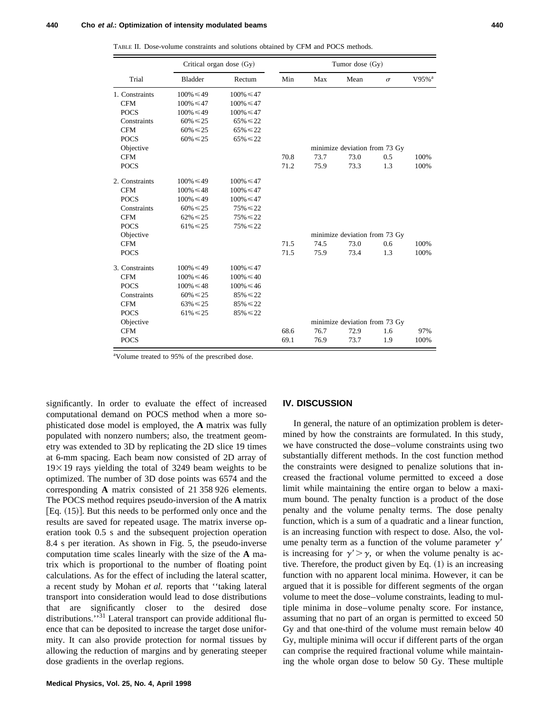TABLE II. Dose-volume constraints and solutions obtained by CFM and POCS methods.

|                | Critical organ dose (Gy) |                | Tumor dose $(Gy)$             |                               |      |          |                     |  |
|----------------|--------------------------|----------------|-------------------------------|-------------------------------|------|----------|---------------------|--|
| Trial          | <b>Bladder</b>           | Rectum         | Min                           | Max                           | Mean | $\sigma$ | $V95%$ <sup>a</sup> |  |
| 1. Constraints | $100\% \le 49$           | $100\% \le 47$ |                               |                               |      |          |                     |  |
| <b>CFM</b>     | $100\% \le 47$           | $100\% \le 47$ |                               |                               |      |          |                     |  |
| <b>POCS</b>    | $100\% \le 49$           | $100\% \le 47$ |                               |                               |      |          |                     |  |
| Constraints    | $60\% \le 25$            | $65\% \le 22$  |                               |                               |      |          |                     |  |
| <b>CFM</b>     | $60\% \le 25$            | $65\% \le 22$  |                               |                               |      |          |                     |  |
| <b>POCS</b>    | $60\% \le 25$            | $65\% \le 22$  |                               |                               |      |          |                     |  |
| Objective      |                          |                | minimize deviation from 73 Gy |                               |      |          |                     |  |
| <b>CFM</b>     |                          |                | 70.8                          | 73.7                          | 73.0 | 0.5      | 100%                |  |
| <b>POCS</b>    |                          |                | 71.2                          | 75.9                          | 73.3 | 1.3      | 100%                |  |
| 2. Constraints | $100\% \le 49$           | $100\% \le 47$ |                               |                               |      |          |                     |  |
| <b>CFM</b>     | $100\% \le 48$           | $100\% \le 47$ |                               |                               |      |          |                     |  |
| <b>POCS</b>    | $100\% \le 49$           | $100\% \le 47$ |                               |                               |      |          |                     |  |
| Constraints    | $60\% \le 25$            | $75\% \le 22$  |                               |                               |      |          |                     |  |
| <b>CFM</b>     | $62\% \le 25$            | $75\% \le 22$  |                               |                               |      |          |                     |  |
| <b>POCS</b>    | $61\% \le 25$            | $75\% \le 22$  |                               |                               |      |          |                     |  |
| Objective      |                          |                |                               | minimize deviation from 73 Gy |      |          |                     |  |
| <b>CFM</b>     |                          |                | 71.5                          | 74.5                          | 73.0 | 0.6      | 100%                |  |
| <b>POCS</b>    |                          |                | 71.5                          | 75.9                          | 73.4 | 1.3      | 100%                |  |
| 3. Constraints | $100\% \le 49$           | $100\% \le 47$ |                               |                               |      |          |                     |  |
| <b>CFM</b>     | $100\% \le 46$           | $100\% \le 40$ |                               |                               |      |          |                     |  |
| <b>POCS</b>    | $100\% \le 48$           | $100\% \le 46$ |                               |                               |      |          |                     |  |
| Constraints    | $60\% \le 25$            | $85\% \le 22$  |                               |                               |      |          |                     |  |
| <b>CFM</b>     | $63\% \le 25$            | $85\% \le 22$  |                               |                               |      |          |                     |  |
| <b>POCS</b>    | $61\% \le 25$            | $85\% \le 22$  |                               |                               |      |          |                     |  |
| Objective      |                          |                |                               | minimize deviation from 73 Gy |      |          |                     |  |
| <b>CFM</b>     |                          |                | 68.6                          | 76.7                          | 72.9 | 1.6      | 97%                 |  |
| <b>POCS</b>    |                          |                | 69.1                          | 76.9                          | 73.7 | 1.9      | 100%                |  |

<sup>a</sup>Volume treated to 95% of the prescribed dose.

significantly. In order to evaluate the effect of increased computational demand on POCS method when a more sophisticated dose model is employed, the **A** matrix was fully populated with nonzero numbers; also, the treatment geometry was extended to 3D by replicating the 2D slice 19 times at 6-mm spacing. Each beam now consisted of 2D array of  $19\times19$  rays yielding the total of 3249 beam weights to be optimized. The number of 3D dose points was 6574 and the corresponding **A** matrix consisted of 21 358 926 elements. The POCS method requires pseudo-inversion of the **A** matrix [Eq.  $(15)$ ]. But this needs to be performed only once and the results are saved for repeated usage. The matrix inverse operation took 0.5 s and the subsequent projection operation 8.4 s per iteration. As shown in Fig. 5, the pseudo-inverse computation time scales linearly with the size of the **A** matrix which is proportional to the number of floating point calculations. As for the effect of including the lateral scatter, a recent study by Mohan *et al.* reports that ''taking lateral transport into consideration would lead to dose distributions that are significantly closer to the desired dose distributions.<sup>531</sup> Lateral transport can provide additional fluence that can be deposited to increase the target dose uniformity. It can also provide protection for normal tissues by allowing the reduction of margins and by generating steeper dose gradients in the overlap regions.

#### **IV. DISCUSSION**

In general, the nature of an optimization problem is determined by how the constraints are formulated. In this study, we have constructed the dose–volume constraints using two substantially different methods. In the cost function method the constraints were designed to penalize solutions that increased the fractional volume permitted to exceed a dose limit while maintaining the entire organ to below a maximum bound. The penalty function is a product of the dose penalty and the volume penalty terms. The dose penalty function, which is a sum of a quadratic and a linear function, is an increasing function with respect to dose. Also, the volume penalty term as a function of the volume parameter  $\gamma'$ is increasing for  $\gamma' > \gamma$ , or when the volume penalty is active. Therefore, the product given by Eq.  $(1)$  is an increasing function with no apparent local minima. However, it can be argued that it is possible for different segments of the organ volume to meet the dose–volume constraints, leading to multiple minima in dose–volume penalty score. For instance, assuming that no part of an organ is permitted to exceed 50 Gy and that one-third of the volume must remain below 40 Gy, multiple minima will occur if different parts of the organ can comprise the required fractional volume while maintaining the whole organ dose to below 50 Gy. These multiple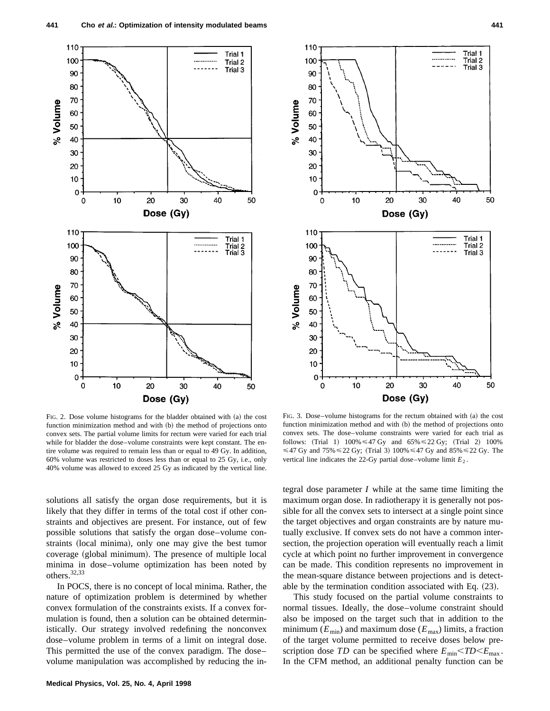



FIG. 2. Dose volume histograms for the bladder obtained with  $(a)$  the cost function minimization method and with (b) the method of projections onto convex sets. The partial volume limits for rectum were varied for each trial while for bladder the dose–volume constraints were kept constant. The entire volume was required to remain less than or equal to 49 Gy. In addition, 60% volume was restricted to doses less than or equal to 25 Gy, i.e., only 40% volume was allowed to exceed 25 Gy as indicated by the vertical line.

FIG. 3. Dose–volume histograms for the rectum obtained with  $(a)$  the cost function minimization method and with  $(b)$  the method of projections onto convex sets. The dose–volume constraints were varied for each trial as follows: (Trial 1)  $100\% \le 47 \text{ Gy}$  and  $65\% \le 22 \text{ Gy}$ ; (Trial 2)  $100\%$  $\leq$  47 Gy and 75%  $\leq$  22 Gy; (Trial 3) 100%  $\leq$  47 Gy and 85%  $\leq$  22 Gy. The vertical line indicates the 22-Gy partial dose–volume limit  $E_2$ .

solutions all satisfy the organ dose requirements, but it is likely that they differ in terms of the total cost if other constraints and objectives are present. For instance, out of few possible solutions that satisfy the organ dose–volume constraints (local minima), only one may give the best tumor coverage (global minimum). The presence of multiple local minima in dose–volume optimization has been noted by others.32,33

In POCS, there is no concept of local minima. Rather, the nature of optimization problem is determined by whether convex formulation of the constraints exists. If a convex formulation is found, then a solution can be obtained deterministically. Our strategy involved redefining the nonconvex dose–volume problem in terms of a limit on integral dose. This permitted the use of the convex paradigm. The dose– volume manipulation was accomplished by reducing the integral dose parameter *I* while at the same time limiting the maximum organ dose. In radiotherapy it is generally not possible for all the convex sets to intersect at a single point since the target objectives and organ constraints are by nature mutually exclusive. If convex sets do not have a common intersection, the projection operation will eventually reach a limit cycle at which point no further improvement in convergence can be made. This condition represents no improvement in the mean-square distance between projections and is detectable by the termination condition associated with Eq.  $(23)$ .

This study focused on the partial volume constraints to normal tissues. Ideally, the dose–volume constraint should also be imposed on the target such that in addition to the minimum ( $E_{min}$ ) and maximum dose ( $E_{max}$ ) limits, a fraction of the target volume permitted to receive doses below prescription dose *TD* can be specified where  $E_{\text{min}} < T D < E_{\text{max}}$ . In the CFM method, an additional penalty function can be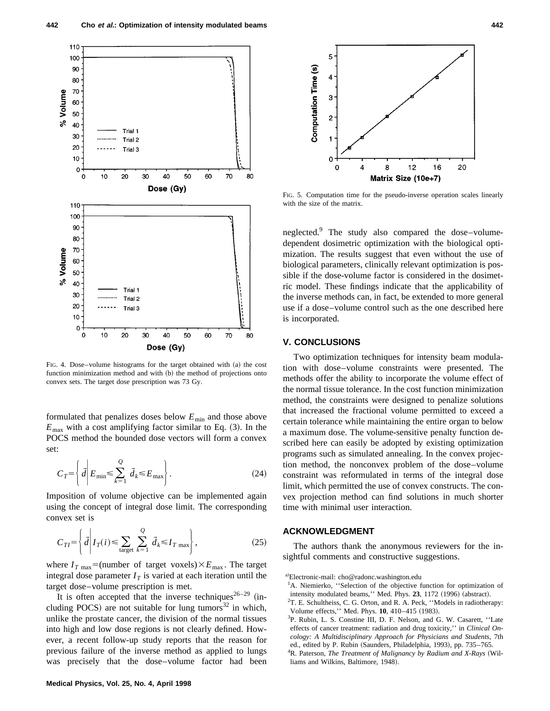

FIG. 4. Dose-volume histograms for the target obtained with (a) the cost function minimization method and with (b) the method of projections onto convex sets. The target dose prescription was 73 Gy.

formulated that penalizes doses below  $E_{\text{min}}$  and those above  $E_{\text{max}}$  with a cost amplifying factor similar to Eq.  $(3)$ . In the POCS method the bounded dose vectors will form a convex set:

$$
C_T = \left\{ \vec{d} \middle| E_{\min} \leq \sum_{k=1}^{Q} \vec{d}_k \leq E_{\max} \right\}.
$$
 (24)

Imposition of volume objective can be implemented again using the concept of integral dose limit. The corresponding convex set is

$$
C_{TI} = \left\{ \vec{d} \middle| I_T(i) \leq \sum_{\text{target}} \sum_{k=1}^{Q} \vec{d}_k \leq I_{T \text{ max}} \right\},\tag{25}
$$

where  $I_{T \text{ max}} = \text{(number of target voxels)} \times E_{\text{max}}$ . The target integral dose parameter  $I<sub>T</sub>$  is varied at each iteration until the target dose–volume prescription is met.

It is often accepted that the inverse techniques<sup>26-29</sup> (including POCS) are not suitable for lung tumors $32$  in which, unlike the prostate cancer, the division of the normal tissues into high and low dose regions is not clearly defined. However, a recent follow-up study reports that the reason for previous failure of the inverse method as applied to lungs was precisely that the dose–volume factor had been



FIG. 5. Computation time for the pseudo-inverse operation scales linearly with the size of the matrix.

neglected.9 The study also compared the dose–volumedependent dosimetric optimization with the biological optimization. The results suggest that even without the use of biological parameters, clinically relevant optimization is possible if the dose-volume factor is considered in the dosimetric model. These findings indicate that the applicability of the inverse methods can, in fact, be extended to more general use if a dose–volume control such as the one described here is incorporated.

# **V. CONCLUSIONS**

Two optimization techniques for intensity beam modulation with dose–volume constraints were presented. The methods offer the ability to incorporate the volume effect of the normal tissue tolerance. In the cost function minimization method, the constraints were designed to penalize solutions that increased the fractional volume permitted to exceed a certain tolerance while maintaining the entire organ to below a maximum dose. The volume-sensitive penalty function described here can easily be adopted by existing optimization programs such as simulated annealing. In the convex projection method, the nonconvex problem of the dose–volume constraint was reformulated in terms of the integral dose limit, which permitted the use of convex constructs. The convex projection method can find solutions in much shorter time with minimal user interaction.

## **ACKNOWLEDGMENT**

The authors thank the anonymous reviewers for the insightful comments and constructive suggestions.

a)Electronic-mail: cho@radonc.washington.edu

<sup>&</sup>lt;sup>1</sup>A. Niemierko, "Selection of the objective function for optimization of intensity modulated beams," Med. Phys. 23, 1172 (1996) (abstract).

 ${}^{2}$ T. E. Schultheiss, C. G. Orton, and R. A. Peck, "Models in radiotherapy: Volume effects," Med. Phys. **10**, 410-415 (1983).

<sup>3</sup> P. Rubin, L. S. Constine III, D. F. Nelson, and G. W. Casarett, ''Late effects of cancer treatment: radiation and drug toxicity,'' in *Clinical Oncology: A Multidisciplinary Approach for Physicians and Students*, 7th ed., edited by P. Rubin (Saunders, Philadelphia, 1993), pp. 735–765. <sup>4</sup>R. Paterson, *The Treatment of Malignancy by Radium and X-Rays* (Williams and Wilkins, Baltimore, 1948).